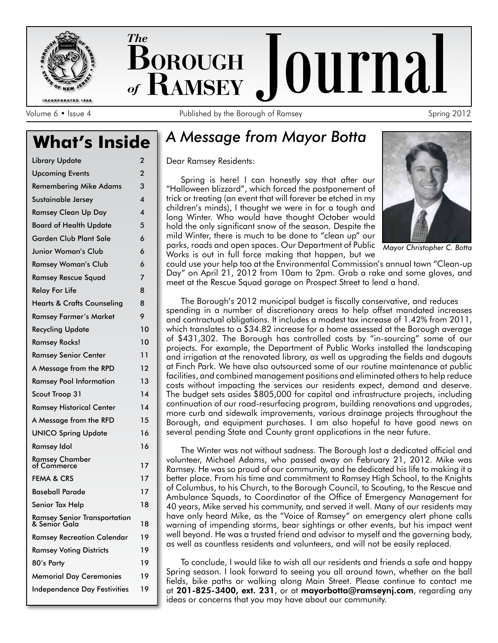

**INCORPORATED 1908** 

The **BOROUGH Journal** of  $\mathbf{R}$ AMSEY  $_{\bullet}$ 

Volume 6 • Issue 4 **Published by the Borough of Ramsey** Spring 2012

# **What's Inside** *A Message from Mayor Botta*

| Library Update                                | $\overline{2}$          |
|-----------------------------------------------|-------------------------|
| <b>Upcoming Events</b>                        | 2                       |
| <b>Remembering Mike Adams</b>                 | 3                       |
| Sustainable Jersey                            | $\overline{\mathbf{4}}$ |
| <b>Ramsey Clean Up Day</b>                    | $\overline{\mathbf{4}}$ |
| <b>Board of Health Update</b>                 | 5                       |
| <b>Garden Club Plant Sale</b>                 | 6                       |
| Junior Woman's Club                           | 6                       |
| <b>Ramsey Woman's Club</b>                    | 6                       |
| <b>Ramsey Rescue Squad</b>                    | 7                       |
| <b>Relay For Life</b>                         | 8                       |
| <b>Hearts &amp; Crafts Counseling</b>         | 8                       |
| <b>Ramsey Farmer's Market</b>                 | 9                       |
| <b>Recycling Update</b>                       | 10                      |
| <b>Ramsey Rocks!</b>                          | 10                      |
| <b>Ramsey Senior Center</b>                   | 11                      |
| A Message from the RPD                        | 12                      |
| <b>Ramsey Pool Information</b>                | 13                      |
| Scout Troop 31                                | 14                      |
| <b>Ramsey Historical Center</b>               | 14                      |
| A Message from the RFD                        | 15                      |
| <b>UNICO Spring Update</b>                    | 16                      |
| Ramsey Idol                                   | 16                      |
| Ramsey Chamber<br>of Commerce                 | 17                      |
| <b>FEMA &amp; CRS</b>                         | 17                      |
| <b>Baseball Parade</b>                        | 17                      |
| Senior Tax Help                               | 18                      |
| Ramsey Senior Transportation<br>& Senior Gala | 18                      |
| <b>Ramsey Recreation Calendar</b>             | 19                      |
| <b>Ramsey Voting Districts</b>                | 19                      |
| 80's Party                                    | 19                      |
| <b>Memorial Day Ceremonies</b>                | 19                      |
| <b>Independence Day Festivities</b>           | 19                      |

Dear Ramsey Residents:

Spring is here! I can honestly say that after our "Halloween blizzard", which forced the postponement of trick or treating (an event that will forever be etched in my children's minds), I thought we were in for a tough and long Winter. Who would have thought October would hold the only significant snow of the season. Despite the mild Winter, there is much to be done to "clean up" our parks, roads and open spaces. Our Department of Public Mayor Christopher C. Botta Works is out in full force making that happen, but we



could use your help too at the Environmental Commission's annual town "Clean-up Day" on April 21, 2012 from 10am to 2pm. Grab a rake and some gloves, and meet at the Rescue Squad garage on Prospect Street to lend a hand.

The Borough's 2012 municipal budget is fiscally conservative, and reduces spending in a number of discretionary areas to help offset mandated increases and contractual obligations. It includes a modest tax increase of 1.42% from 2011, which translates to a \$34.82 increase for a home assessed at the Borough average of \$431,302. The Borough has controlled costs by "in-sourcing" some of our projects. For example, the Department of Public Works installed the landscaping and irrigation at the renovated library, as well as upgrading the fields and dugouts at Finch Park. We have also outsourced some of our routine maintenance at public facilities, and combined management positions and eliminated others to help reduce costs without impacting the services our residents expect, demand and deserve. The budget sets asides \$805,000 for capital and infrastructure projects, including continuation of our road-resurfacing program, building renovations and upgrades, more curb and sidewalk improvements, various drainage projects throughout the Borough, and equipment purchases. I am also hopeful to have good news on several pending State and County grant applications in the near future.

The Winter was not without sadness. The Borough lost a dedicated official and volunteer, Michael Adams, who passed away on February 21, 2012. Mike was Ramsey. He was so proud of our community, and he dedicated his life to making it a better place. From his time and commitment to Ramsey High School, to the Knights of Columbus, to his Church, to the Borough Council, to Scouting, to the Rescue and Ambulance Squads, to Coordinator of the Office of Emergency Management for 40 years, Mike served his community, and served it well. Many of our residents may have only heard Mike, as the "Voice of Ramsey" on emergency alert phone calls warning of impending storms, bear sightings or other events, but his impact went well beyond. He was a trusted friend and advisor to myself and the governing body, as well as countless residents and volunteers, and will not be easily replaced.

To conclude, I would like to wish all our residents and friends a safe and happy Spring season. I look forward to seeing you all around town, whether on the ball fields, bike paths or walking along Main Street. Please continue to contact me at 201-825-3400, ext. 231, or at mayorbotta@ramseynj.com, regarding any ideas or concerns that you may have about our community.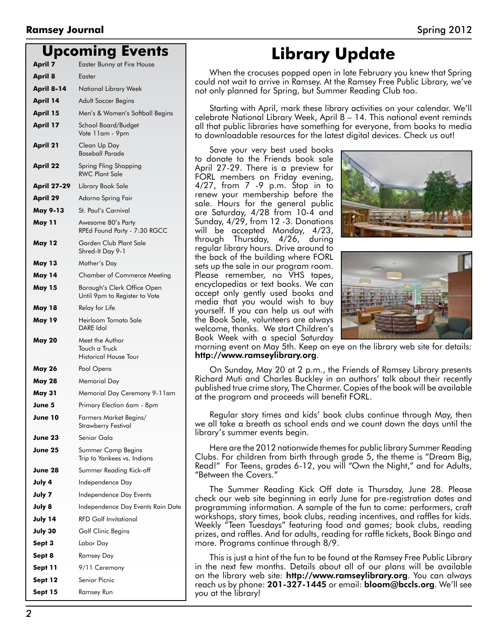#### **Upcoming Events**

|                    | 9                                                                |
|--------------------|------------------------------------------------------------------|
| <b>April 7</b>     | Easter Bunny at Fire House                                       |
| <b>April 8</b>     | Easter                                                           |
| April 8-14         | National Library Week                                            |
| April 14           | Adult Soccer Begins                                              |
| April 15           | Men's & Women's Softball Begins                                  |
| <b>April 17</b>    | School Board/Budget<br>Vote 11am - 9pm                           |
| April 21           | Clean Up Day<br><b>Baseball Parade</b>                           |
| <b>April 22</b>    | Spring Fling Shopping<br><b>RWC Plant Sale</b>                   |
| <b>April 27-29</b> | Library Book Sale                                                |
| <b>April 29</b>    | Adorno Spring Fair                                               |
| <b>May 9-13</b>    | St. Paul's Carnival                                              |
| <b>May 11</b>      | Awesome 80's Party<br>RPEd Found Party - 7:30 RGCC               |
| <b>May 12</b>      | Garden Club Plant Sale<br>Shred-It Day 9-1                       |
| <b>May 13</b>      | Mother's Day                                                     |
| <b>May 14</b>      | <b>Chamber of Commerce Meeting</b>                               |
| <b>May 15</b>      | Borough's Clerk Office Open<br>Until 9pm to Register to Vote     |
| May 18             | Relay for Life                                                   |
| <b>May 19</b>      | Heirloom Tomato Sale<br>DARE Idol                                |
| <b>May 20</b>      | Meet the Author<br>Touch a Truck<br><b>Historical House Tour</b> |
| <b>May 26</b>      | Pool Opens                                                       |
| <b>May 28</b>      | Memorial Day                                                     |
| <b>May 31</b>      | Memorial Day Ceremony 9-11am                                     |
| June 5             | Primary Election 6am - 8pm                                       |
| June 10            | Farmers Market Begins/<br>Strawberry Festival                    |
| June 23            | Senior Gala                                                      |
| June 25            | Summer Camp Begins<br>Trip to Yankees vs. Indians                |
| June 28            | Summer Reading Kick-off                                          |
| July 4             | Independence Day                                                 |
| July 7             | Independence Day Events                                          |
| July 8             | Independence Day Events Rain Date                                |
| July 14            | <b>RFD Golf Invitational</b>                                     |
| July 30            | Golf Clinic Begins                                               |
| Sept 3             | Labor Day                                                        |
| Sept 8             | Ramsey Day                                                       |
| Sept 11            | 9/11 Ceremony                                                    |
| Sept 12            | Senior Picnic                                                    |
| Sept 15            | Ramsey Run                                                       |

# **Library Update**

When the crocuses popped open in late February you knew that Spring could not wait to arrive in Ramsey. At the Ramsey Free Public Library, we've not only planned for Spring, but Summer Reading Club too.

Starting with April, mark these library activities on your calendar. We'll celebrate National Library Week, April 8 – 14. This national event reminds all that public libraries have something for everyone, from books to media to downloadable resources for the latest digital devices. Check us out!

Save your very best used books to donate to the Friends book sale April 27-29. There is a preview for FORL members on Friday evening, 4/27, from 7 -9 p.m. Stop in to renew your membership before the sale. Hours for the general public are Saturday, 4/28 from 10-4 and Sunday, 4/29, from 12 -3. Donations will be accepted Monday, 4/23, through Thursday, 4/26, during regular library hours. Drive around to the back of the building where FORL sets up the sale in our program room. Please remember, no VHS tapes, encyclopedias or text books. We can accept only gently used books and media that you would wish to buy yourself. If you can help us out with the Book Sale, volunteers are always welcome, thanks. We start Children's Book Week with a special Saturday





morning event on May 5th. Keep an eye on the library web site for details: http://www.ramseylibrary.org.

On Sunday, May 20 at 2 p.m., the Friends of Ramsey Library presents Richard Muti and Charles Buckley in an authors' talk about their recently published true crime story, The Charmer. Copies of the book will be available at the program and proceeds will benefit FORL.

Regular story times and kids' book clubs continue through May, then we all take a breath as school ends and we count down the days until the library's summer events begin.

Here are the 2012 nationwide themes for public library Summer Reading Clubs. For children from birth through grade 5, the theme is "Dream Big, Read!" For Teens, grades 6-12, you will "Own the Night," and for Adults, "Between the Covers."

The Summer Reading Kick Off date is Thursday, June 28. Please check our web site beginning in early June for pre-registration dates and programming information. A sample of the fun to come: performers, craft workshops, story times, book clubs, reading incentives, and raffles for kids. Weekly "Teen Tuesdays" featuring food and games; book clubs, reading prizes, and raffles. And for adults, reading for raffle tickets, Book Bingo and more. Programs continue through 8/9.

This is just a hint of the fun to be found at the Ramsey Free Public Library in the next few months. Details about all of our plans will be available on the library web site: http://www.ramseylibrary.org. You can always reach us by phone: 201-327-1445 or email: bloom@bccls.org. We'll see you at the library!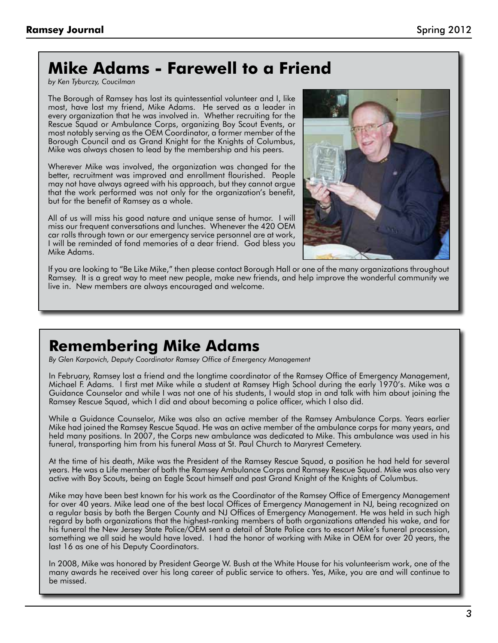# **Mike Adams - Farewell to a Friend**

*by Ken Tyburczy, Coucilman*

The Borough of Ramsey has lost its quintessential volunteer and I, like most, have lost my friend, Mike Adams. He served as a leader in every organization that he was involved in. Whether recruiting for the Rescue Squad or Ambulance Corps, organizing Boy Scout Events, or most notably serving as the OEM Coordinator, a former member of the Borough Council and as Grand Knight for the Knights of Columbus, Mike was always chosen to lead by the membership and his peers.

Wherever Mike was involved, the organization was changed for the better, recruitment was improved and enrollment flourished. People may not have always agreed with his approach, but they cannot argue that the work performed was not only for the organization's benefit, but for the benefit of Ramsey as a whole.

All of us will miss his good nature and unique sense of humor. I will miss our frequent conversations and lunches. Whenever the 420 OEM car rolls through town or our emergency service personnel are at work, I will be reminded of fond memories of a dear friend. God bless you Mike Adams.



If you are looking to "Be Like Mike," then please contact Borough Hall or one of the many organizations throughout Ramsey. It is a great way to meet new people, make new friends, and help improve the wonderful community we live in. New members are always encouraged and welcome.

## **Remembering Mike Adams**

*By Glen Karpovich, Deputy Coordinator Ramsey Office of Emergency Management*

In February, Ramsey lost a friend and the longtime coordinator of the Ramsey Office of Emergency Management, Michael F. Adams. I first met Mike while a student at Ramsey High School during the early 1970's. Mike was a Guidance Counselor and while I was not one of his students, I would stop in and talk with him about joining the Ramsey Rescue Squad, which I did and about becoming a police officer, which I also did.

While a Guidance Counselor, Mike was also an active member of the Ramsey Ambulance Corps. Years earlier Mike had joined the Ramsey Rescue Squad. He was an active member of the ambulance corps for many years, and held many positions. In 2007, the Corps new ambulance was dedicated to Mike. This ambulance was used in his funeral, transporting him from his funeral Mass at St. Paul Church to Maryrest Cemetery.

At the time of his death, Mike was the President of the Ramsey Rescue Squad, a position he had held for several years. He was a Life member of both the Ramsey Ambulance Corps and Ramsey Rescue Squad. Mike was also very active with Boy Scouts, being an Eagle Scout himself and past Grand Knight of the Knights of Columbus.

Mike may have been best known for his work as the Coordinator of the Ramsey Office of Emergency Management for over 40 years. Mike lead one of the best local Offices of Emergency Management in NJ, being recognized on a regular basis by both the Bergen County and NJ Offices of Emergency Management. He was held in such high regard by both organizations that the highest-ranking members of both organizations attended his wake, and for his funeral the New Jersey State Police/OEM sent a detail of State Police cars to escort Mike's funeral procession, something we all said he would have loved. I had the honor of working with Mike in OEM for over 20 years, the last 16 as one of his Deputy Coordinators.

In 2008, Mike was honored by President George W. Bush at the White House for his volunteerism work, one of the many awards he received over his long career of public service to others. Yes, Mike, you are and will continue to be missed.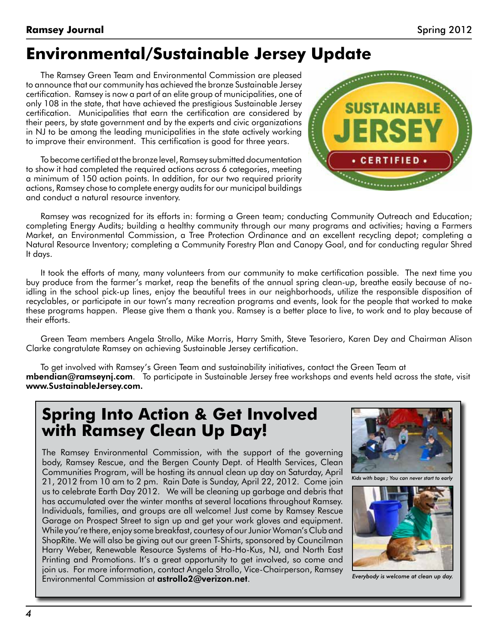# **Environmental/Sustainable Jersey Update**

The Ramsey Green Team and Environmental Commission are pleased to announce that our community has achieved the bronze Sustainable Jersey certification. Ramsey is now a part of an elite group of municipalities, one of only 108 in the state, that have achieved the prestigious Sustainable Jersey certification. Municipalities that earn the certification are considered by their peers, by state government and by the experts and civic organizations in NJ to be among the leading municipalities in the state actively working to improve their environment. This certification is good for three years.

To become certified at the bronze level, Ramsey submitted documentation to show it had completed the required actions across 6 categories, meeting a minimum of 150 action points. In addition, for our two required priority actions, Ramsey chose to complete energy audits for our municipal buildings and conduct a natural resource inventory.



Ramsey was recognized for its efforts in: forming a Green team; conducting Community Outreach and Education; completing Energy Audits; building a healthy community through our many programs and activities; having a Farmers Market, an Environmental Commission, a Tree Protection Ordinance and an excellent recycling depot; completing a Natural Resource Inventory; completing a Community Forestry Plan and Canopy Goal, and for conducting regular Shred It days.

It took the efforts of many, many volunteers from our community to make certification possible. The next time you buy produce from the farmer's market, reap the benefits of the annual spring clean-up, breathe easily because of noidling in the school pick-up lines, enjoy the beautiful trees in our neighborhoods, utilize the responsible disposition of recyclables, or participate in our town's many recreation programs and events, look for the people that worked to make these programs happen. Please give them a thank you. Ramsey is a better place to live, to work and to play because of their efforts.

Green Team members Angela Strollo, Mike Morris, Harry Smith, Steve Tesoriero, Karen Dey and Chairman Alison Clarke congratulate Ramsey on achieving Sustainable Jersey certification.

To get involved with Ramsey's Green Team and sustainability initiatives, contact the Green Team at mbendian@ramseynj.com. To participate in Sustainable Jersey free workshops and events held across the state, visit www.SustainableJersey.com.

## **Spring Into Action & Get Involved with Ramsey Clean Up Day!**

The Ramsey Environmental Commission, with the support of the governing body, Ramsey Rescue, and the Bergen County Dept. of Health Services, Clean Communities Program, will be hosting its annual clean up day on Saturday, April 21, 2012 from 10 am to 2 pm. Rain Date is Sunday, April 22, 2012. Come join us to celebrate Earth Day 2012. We will be cleaning up garbage and debris that has accumulated over the winter months at several locations throughout Ramsey. Individuals, families, and groups are all welcome! Just come by Ramsey Rescue Garage on Prospect Street to sign up and get your work gloves and equipment. While you're there, enjoy some breakfast, courtesy of our Junior Woman's Club and ShopRite. We will also be giving out our green T-Shirts, sponsored by Councilman Harry Weber, Renewable Resource Systems of Ho-Ho-Kus, NJ, and North East Printing and Promotions. It's a great opportunity to get involved, so come and join us. For more information, contact Angela Strollo, Vice-Chairperson, Ramsey Environmental Commission at astrollo2@verizon.net.



Everybody is welcome at clean up day.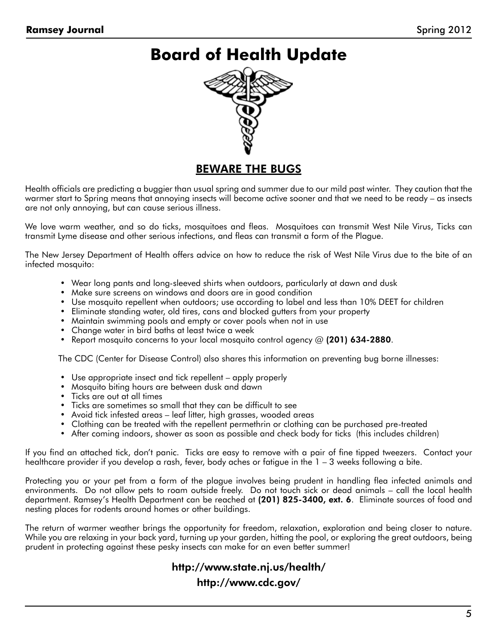## **Board of Health Update**



#### BEWARE THE BUGS

Health officials are predicting a buggier than usual spring and summer due to our mild past winter. They caution that the warmer start to Spring means that annoying insects will become active sooner and that we need to be ready – as insects are not only annoying, but can cause serious illness.

We love warm weather, and so do ticks, mosquitoes and fleas. Mosquitoes can transmit West Nile Virus, Ticks can transmit Lyme disease and other serious infections, and fleas can transmit a form of the Plague.

The New Jersey Department of Health offers advice on how to reduce the risk of West Nile Virus due to the bite of an infected mosquito:

- • Wear long pants and long-sleeved shirts when outdoors, particularly at dawn and dusk
- Make sure screens on windows and doors are in good condition
- • Use mosquito repellent when outdoors; use according to label and less than 10% DEET for children
- • Eliminate standing water, old tires, cans and blocked gutters from your property
- Maintain swimming pools and empty or cover pools when not in use
- Change water in bird baths at least twice a week
- Report mosquito concerns to your local mosquito control agency  $\omega$  (201) 634-2880.

The CDC (Center for Disease Control) also shares this information on preventing bug borne illnesses:

- Use appropriate insect and tick repellent apply properly
- Mosquito biting hours are between dusk and dawn
- • Ticks are out at all times
- • Ticks are sometimes so small that they can be difficult to see
- Avoid tick infested areas leaf litter, high grasses, wooded areas
- • Clothing can be treated with the repellent permethrin or clothing can be purchased pre-treated
- • After coming indoors, shower as soon as possible and check body for ticks (this includes children)

If you find an attached tick, don't panic. Ticks are easy to remove with a pair of fine tipped tweezers. Contact your healthcare provider if you develop a rash, fever, body aches or fatigue in the 1 – 3 weeks following a bite.

Protecting you or your pet from a form of the plague involves being prudent in handling flea infected animals and environments. Do not allow pets to roam outside freely. Do not touch sick or dead animals – call the local health department. Ramsey's Health Department can be reached at (201) 825-3400, ext. 6. Eliminate sources of food and nesting places for rodents around homes or other buildings.

The return of warmer weather brings the opportunity for freedom, relaxation, exploration and being closer to nature. While you are relaxing in your back yard, turning up your garden, hitting the pool, or exploring the great outdoors, being prudent in protecting against these pesky insects can make for an even better summer!

#### http://www.state.nj.us/health/ http://www.cdc.gov/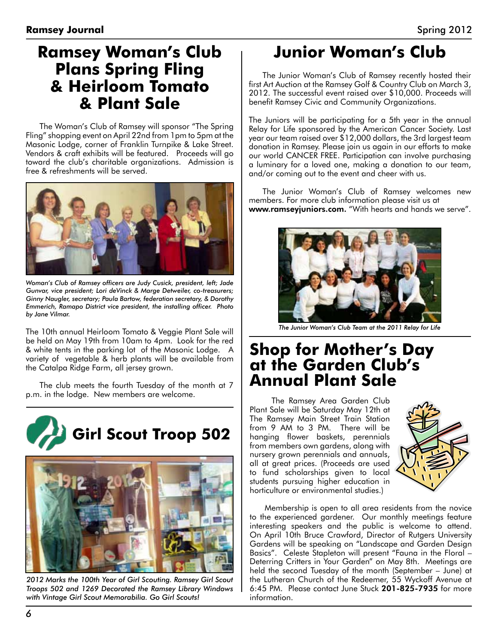## **Ramsey Woman's Club Plans Spring Fling & Heirloom Tomato & Plant Sale**

The Woman's Club of Ramsey will sponsor "The Spring Fling" shopping event on April 22nd from 1pm to 5pm at the Masonic Lodge, corner of Franklin Turnpike & Lake Street. Vendors & craft exhibits will be featured. Proceeds will go toward the club's charitable organizations. Admission is free & refreshments will be served.



*Woman's Club of Ramsey officers are Judy Cusick, president, left; Jade Gunvar, vice president; Lori deVinck & Marge Detweiler, co-treasurers; Ginny Naugler, secretary; Paula Bartow, federation secretary, & Dorothy Emmerich, Ramapo District vice president, the installing officer. Photo by Jane Vilmar.*

The 10th annual Heirloom Tomato & Veggie Plant Sale will be held on May 19th from 10am to 4pm. Look for the red & white tents in the parking lot of the Masonic Lodge. A variety of vegetable & herb plants will be available from the Catalpa Ridge Farm, all jersey grown.

The club meets the fourth Tuesday of the month at 7 p.m. in the lodge. New members are welcome.





*2012 Marks the 100th Year of Girl Scouting. Ramsey Girl Scout Troops 502 and 1269 Decorated the Ramsey Library Windows with Vintage Girl Scout Memorabilia. Go Girl Scouts!*

# **Junior Woman's Club**

The Junior Woman's Club of Ramsey recently hosted their first Art Auction at the Ramsey Golf & Country Club on March 3, 2012. The successful event raised over \$10,000. Proceeds will benefit Ramsey Civic and Community Organizations.

The Juniors will be participating for a 5th year in the annual Relay for Life sponsored by the American Cancer Society. Last year our team raised over \$12,000 dollars, the 3rd largest team donation in Ramsey. Please join us again in our efforts to make our world CANCER FREE. Participation can involve purchasing a luminary for a loved one, making a donation to our team, and/or coming out to the event and cheer with us.

The Junior Woman's Club of Ramsey welcomes new members. For more club information please visit us at www.ramseyjuniors.com. "With hearts and hands we serve".



The Junior Woman's Club Team at the 2011 Relay for Life

#### **Shop for Mother's Day at the Garden Club's Annual Plant Sale**

 The Ramsey Area Garden Club Plant Sale will be Saturday May 12th at The Ramsey Main Street Train Station from 9 AM to 3 PM. There will be hanging flower baskets, perennials from members own gardens, along with nursery grown perennials and annuals, all at great prices. (Proceeds are used to fund scholarships given to local students pursuing higher education in horticulture or environmental studies.)



 Membership is open to all area residents from the novice to the experienced gardener. Our monthly meetings feature interesting speakers and the public is welcome to attend. On April 10th Bruce Crawford, Director of Rutgers University Gardens will be speaking on "Landscape and Garden Design Basics". Celeste Stapleton will present "Fauna in the Floral – Deterring Critters in Your Garden" on May 8th. Meetings are held the second Tuesday of the month (September – June) at the Lutheran Church of the Redeemer, 55 Wyckoff Avenue at 6:45 PM. Please contact June Stuck 201-825-7935 for more information.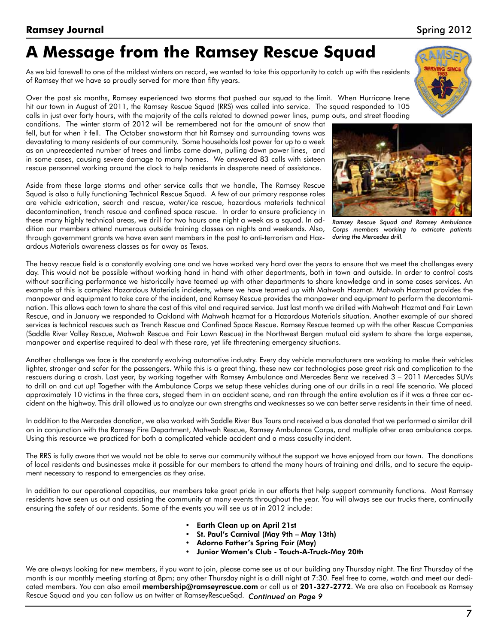*7*

**Ramsey Journal** Spring 2012

# **A Message from the Ramsey Rescue Squad**

As we bid farewell to one of the mildest winters on record, we wanted to take this opportunity to catch up with the residents of Ramsey that we have so proudly served for more than fifty years.

Over the past six months, Ramsey experienced two storms that pushed our squad to the limit. When Hurricane Irene hit our town in August of 2011, the Ramsey Rescue Squad (RRS) was called into service. The squad responded to 105 calls in just over forty hours, with the majority of the calls related to downed power lines, pump outs, and street flooding

conditions. The winter storm of 2012 will be remembered not for the amount of snow that fell, but for when it fell. The October snowstorm that hit Ramsey and surrounding towns was devastating to many residents of our community. Some households lost power for up to a week as an unprecedented number of trees and limbs came down, pulling down power lines, and in some cases, causing severe damage to many homes. We answered 83 calls with sixteen rescue personnel working around the clock to help residents in desperate need of assistance.

Aside from these large storms and other service calls that we handle, The Ramsey Rescue Squad is also a fully functioning Technical Rescue Squad. A few of our primary response roles are vehicle extrication, search and rescue, water/ice rescue, hazardous materials technical decontamination, trench rescue and confined space rescue. In order to ensure proficiency in these many highly technical areas, we drill for two hours one night a week as a squad. In addition our members attend numerous outside training classes on nights and weekends. Also, through government grants we have even sent members in the past to anti-terrorism and Hazardous Materials awareness classes as far away as Texas.

The heavy rescue field is a constantly evolving one and we have worked very hard over the years to ensure that we meet the challenges every day. This would not be possible without working hand in hand with other departments, both in town and outside. In order to control costs without sacrificing performance we historically have teamed up with other departments to share knowledge and in some cases services. An example of this is complex Hazardous Materials incidents, where we have teamed up with Mahwah Hazmat. Mahwah Hazmat provides the manpower and equipment to take care of the incident, and Ramsey Rescue provides the manpower and equipment to perform the decontamination. This allows each town to share the cost of this vital and required service. Just last month we drilled with Mahwah Hazmat and Fair Lawn Rescue, and in January we responded to Oakland with Mahwah hazmat for a Hazardous Materials situation. Another example of our shared services is technical rescues such as Trench Rescue and Confined Space Rescue. Ramsey Rescue teamed up with the other Rescue Companies (Saddle River Valley Rescue, Mahwah Rescue and Fair Lawn Rescue) in the Northwest Bergen mutual aid system to share the large expense, manpower and expertise required to deal with these rare, yet life threatening emergency situations.

Another challenge we face is the constantly evolving automotive industry. Every day vehicle manufacturers are working to make their vehicles lighter, stronger and safer for the passengers. While this is a great thing, these new car technologies pose great risk and complication to the rescuers during a crash. Last year, by working together with Ramsey Ambulance and Mercedes Benz we received 3 – 2011 Mercedes SUVs to drill on and cut up! Together with the Ambulance Corps we setup these vehicles during one of our drills in a real life scenario. We placed approximately 10 victims in the three cars, staged them in an accident scene, and ran through the entire evolution as if it was a three car accident on the highway. This drill allowed us to analyze our own strengths and weaknesses so we can better serve residents in their time of need.

In addition to the Mercedes donation, we also worked with Saddle River Bus Tours and received a bus donated that we performed a similar drill on in conjunction with the Ramsey Fire Department, Mahwah Rescue, Ramsey Ambulance Corps, and multiple other area ambulance corps. Using this resource we practiced for both a complicated vehicle accident and a mass casualty incident.

The RRS is fully aware that we would not be able to serve our community without the support we have enjoyed from our town. The donations of local residents and businesses make it possible for our members to attend the many hours of training and drills, and to secure the equipment necessary to respond to emergencies as they arise.

In addition to our operational capacities, our members take great pride in our efforts that help support community functions. Most Ramsey residents have seen us out and assisting the community at many events throughout the year. You will always see our trucks there, continually ensuring the safety of our residents. Some of the events you will see us at in 2012 include:

- • Earth Clean up on April 21st
- • St. Paul's Carnival (May 9th May 13th)
- Adorno Father's Spring Fair (May)
- Junior Women's Club Touch-A-Truck-May 20th

We are always looking for new members, if you want to join, please come see us at our building any Thursday night. The first Thursday of the month is our monthly meeting starting at 8pm; any other Thursday night is a drill night at 7:30. Feel free to come, watch and meet our dedicated members. You can also email **membership@ramseyrescue.com** or call us at **201-327-2772**. We are also on Facebook as Ramsey Rescue Squad and you can follow us on twitter at RamseyRescueSqd. Continued on Page 9



*Ramsey Rescue Squad and Ramsey Ambulance Corps members working to extricate patients* 

*during the Mercedes drill.*

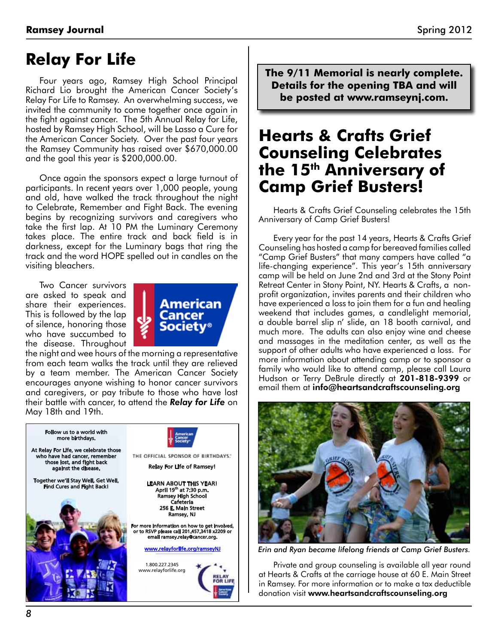## **Relay For Life**

Four years ago, Ramsey High School Principal Richard Lio brought the American Cancer Society's Relay For Life to Ramsey. An overwhelming success, we invited the community to come together once again in the fight against cancer. The 5th Annual Relay for Life, hosted by Ramsey High School, will be Lasso a Cure for the American Cancer Society. Over the past four years the Ramsey Community has raised over \$670,000.00 and the goal this year is \$200,000.00.

Once again the sponsors expect a large turnout of participants. In recent years over 1,000 people, young and old, have walked the track throughout the night to Celebrate, Remember and Fight Back. The evening begins by recognizing survivors and caregivers who take the first lap. At 10 PM the Luminary Ceremony takes place. The entire track and back field is in darkness, except for the Luminary bags that ring the track and the word HOPE spelled out in candles on the visiting bleachers.

Two Cancer survivors are asked to speak and share their experiences. This is followed by the lap of silence, honoring those who have succumbed to the disease. Throughout



the night and wee hours of the morning a representative from each team walks the track until they are relieved by a team member. The American Cancer Society encourages anyone wishing to honor cancer survivors and caregivers, or pay tribute to those who have lost their battle with cancer, to attend the *Relay for Life* on May 18th and 19th.



**The 9/11 Memorial is nearly complete. Details for the opening TBA and will be posted at www.ramseynj.com.**

## **Hearts & Crafts Grief Counseling Celebrates the 15th Anniversary of Camp Grief Busters!**

Hearts & Crafts Grief Counseling celebrates the 15th Anniversary of Camp Grief Busters!

Every year for the past 14 years, Hearts & Crafts Grief Counseling has hosted a camp for bereaved families called "Camp Grief Busters" that many campers have called "a life-changing experience". This year's 15th anniversary camp will be held on June 2nd and 3rd at the Stony Point Retreat Center in Stony Point, NY. Hearts & Crafts, a nonprofit organization, invites parents and their children who have experienced a loss to join them for a fun and healing weekend that includes games, a candlelight memorial, a double barrel slip n' slide, an 18 booth carnival, and much more. The adults can also enjoy wine and cheese and massages in the meditation center, as well as the support of other adults who have experienced a loss. For more information about attending camp or to sponsor a family who would like to attend camp, please call Laura Hudson or Terry DeBrule directly at 201-818-9399 or email them at info@heartsandcraftscounseling.org



*Erin and Ryan became lifelong friends at Camp Grief Busters.*

Private and group counseling is available all year round at Hearts & Crafts at the carriage house at 60 E. Main Street in Ramsey. For more information or to make a tax deductible donation visit www.heartsandcraftscounseling.org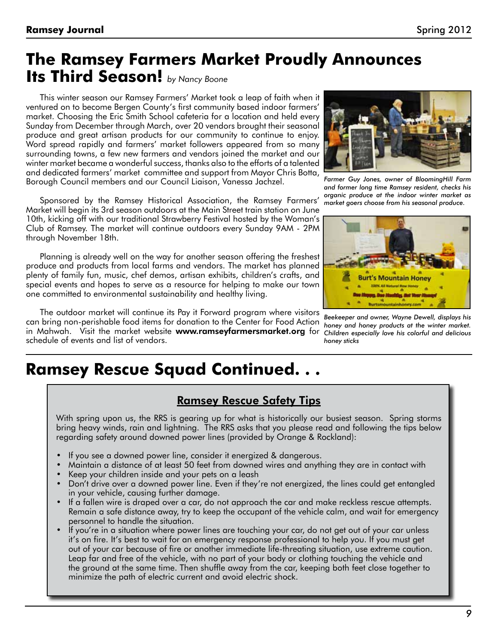# **The Ramsey Farmers Market Proudly Announces**

**Its Third Season!** *by Nancy Boone*

This winter season our Ramsey Farmers' Market took a leap of faith when it ventured on to become Bergen County's first community based indoor farmers' market. Choosing the Eric Smith School cafeteria for a location and held every Sunday from December through March, over 20 vendors brought their seasonal produce and great artisan products for our community to continue to enjoy. Word spread rapidly and farmers' market followers appeared from so many surrounding towns, a few new farmers and vendors joined the market and our winter market became a wonderful success, thanks also to the efforts of a talented and dedicated farmers' market committee and support from Mayor Chris Botta, Borough Council members and our Council Liaison, Vanessa Jachzel.

Sponsored by the Ramsey Historical Association, the Ramsey Farmers' Market will begin its 3rd season outdoors at the Main Street train station on June 10th, kicking off with our traditional Strawberry Festival hosted by the Woman's Club of Ramsey. The market will continue outdoors every Sunday 9AM - 2PM through November 18th.

Planning is already well on the way for another season offering the freshest produce and products from local farms and vendors. The market has planned plenty of family fun, music, chef demos, artisan exhibits, children's crafts, and special events and hopes to serve as a resource for helping to make our town one committed to environmental sustainability and healthy living.

The outdoor market will continue its Pay it Forward program where visitors can bring non-perishable food items for donation to the Center for Food Action in Mahwah. Visit the market website **www.ramseyfarmersmarket.org** for schedule of events and list of vendors.



*Farmer Guy Jones, owner of BloomingHill Farm and former long time Ramsey resident, checks his organic produce at the indoor winter market as market goers choose from his seasonal produce.*



*Beekeeper and owner, Wayne Dewell, displays his honey and honey products at the winter market. Children especially love his colorful and delicious honey sticks*

# **Ramsey Rescue Squad Continued. . .**

#### Ramsey Rescue Safety Tips

With spring upon us, the RRS is gearing up for what is historically our busiest season. Spring storms bring heavy winds, rain and lightning. The RRS asks that you please read and following the tips below regarding safety around downed power lines (provided by Orange & Rockland):

- If you see a downed power line, consider it energized & dangerous.
- Maintain a distance of at least 50 feet from downed wires and anything they are in contact with
- Keep your children inside and your pets on a leash
- Don't drive over a downed power line. Even if they're not energized, the lines could get entangled in your vehicle, causing further damage.
- If a fallen wire is draped over a car, do not approach the car and make reckless rescue attempts. Remain a safe distance away, try to keep the occupant of the vehicle calm, and wait for emergency personnel to handle the situation.
- If you're in a situation where power lines are touching your car, do not get out of your car unless it's on fire. It's best to wait for an emergency response professional to help you. If you must get out of your car because of fire or another immediate life-threating situation, use extreme caution. Leap far and free of the vehicle, with no part of your body or clothing touching the vehicle and the ground at the same time. Then shuffle away from the car, keeping both feet close together to minimize the path of electric current and avoid electric shock.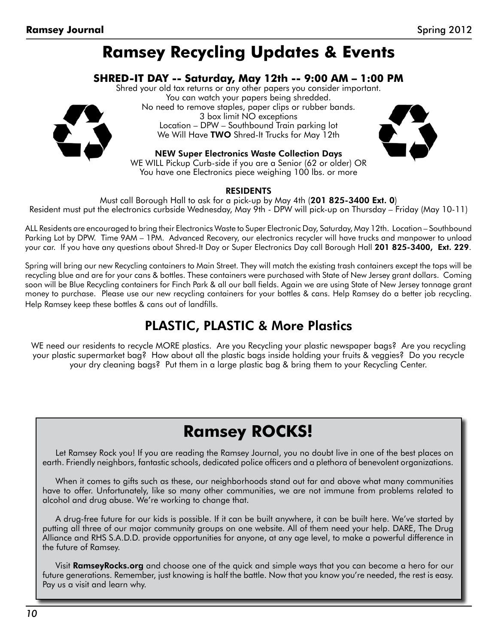## **Ramsey Recycling Updates & Events**

#### **SHRED-IT DAY -- Saturday, May 12th -- 9:00 AM – 1:00 PM**

Shred your old tax returns or any other papers you consider important. You can watch your papers being shredded. No need to remove staples, paper clips or rubber bands. 3 box limit NO exceptions Location – DPW – Southbound Train parking lot We Will Have TWO Shred-It Trucks for May 12th



NEW Super Electronics Waste Collection Days WE WILL Pickup Curb-side if you are a Senior (62 or older) OR You have one Electronics piece weighing 100 lbs. or more

#### **RESIDENTS**

Must call Borough Hall to ask for a pick-up by May 4th (201 825-3400 Ext. 0) Resident must put the electronics curbside Wednesday, May 9th - DPW will pick-up on Thursday – Friday (May 10-11)

ALL Residents are encouraged to bring their Electronics Waste to Super Electronic Day, Saturday, May 12th. Location – Southbound Parking Lot by DPW. Time 9AM – 1PM. Advanced Recovery, our electronics recycler will have trucks and manpower to unload your car. If you have any questions about Shred-It Day or Super Electronics Day call Borough Hall 201 825-3400, Ext. 229.

Spring will bring our new Recycling containers to Main Street. They will match the existing trash containers except the tops will be recycling blue and are for your cans & bottles. These containers were purchased with State of New Jersey grant dollars. Coming soon will be Blue Recycling containers for Finch Park & all our ball fields. Again we are using State of New Jersey tonnage grant money to purchase. Please use our new recycling containers for your bottles & cans. Help Ramsey do a better job recycling. Help Ramsey keep these bottles & cans out of landfills.

#### PLASTIC, PLASTIC & More Plastics

WE need our residents to recycle MORE plastics. Are you Recycling your plastic newspaper bags? Are you recycling your plastic supermarket bag? How about all the plastic bags inside holding your fruits & veggies? Do you recycle your dry cleaning bags? Put them in a large plastic bag & bring them to your Recycling Center.

# **Ramsey ROCKS!**

Let Ramsey Rock you! If you are reading the Ramsey Journal, you no doubt live in one of the best places on earth. Friendly neighbors, fantastic schools, dedicated police officers and a plethora of benevolent organizations.

When it comes to gifts such as these, our neighborhoods stand out far and above what many communities have to offer. Unfortunately, like so many other communities, we are not immune from problems related to alcohol and drug abuse. We're working to change that.

A drug-free future for our kids is possible. If it can be built anywhere, it can be built here. We've started by putting all three of our major community groups on one website. All of them need your help. DARE, The Drug Alliance and RHS S.A.D.D. provide opportunities for anyone, at any age level, to make a powerful difference in the future of Ramsey.

Visit **RamseyRocks.org** and choose one of the quick and simple ways that you can become a hero for our future generations. Remember, just knowing is half the battle. Now that you know you're needed, the rest is easy. Pay us a visit and learn why.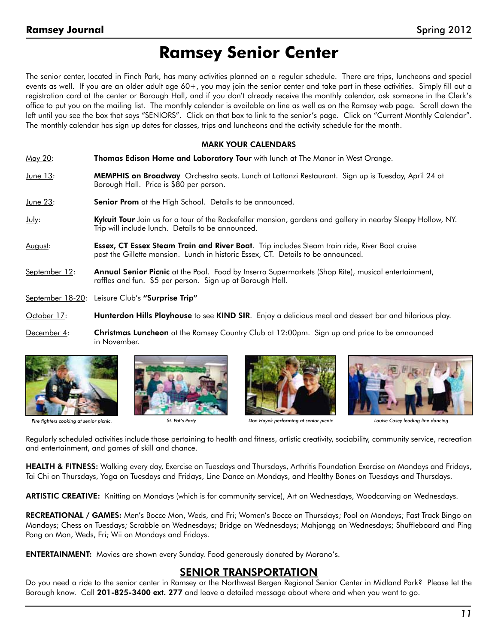## **Ramsey Senior Center**

The senior center, located in Finch Park, has many activities planned on a regular schedule. There are trips, luncheons and special events as well. If you are an older adult age 60+, you may join the senior center and take part in these activities. Simply fill out a registration card at the center or Borough Hall, and if you don't already receive the monthly calendar, ask someone in the Clerk's office to put you on the mailing list. The monthly calendar is available on line as well as on the Ramsey web page. Scroll down the left until you see the box that says "SENIORS". Click on that box to link to the senior's page. Click on "Current Monthly Calendar". The monthly calendar has sign up dates for classes, trips and luncheons and the activity schedule for the month.

#### MARK YOUR CALENDARS

- May 20: Thomas Edison Home and Laboratory Tour with lunch at The Manor in West Orange.
- June 13: **MEMPHIS on Broadway** Orchestra seats. Lunch at Lattanzi Restaurant. Sign up is Tuesday, April 24 at Borough Hall. Price is \$80 per person.
- June 23: **Senior Prom** at the High School. Details to be announced.
- July: Kykuit Tour Join us for a tour of the Rockefeller mansion, gardens and gallery in nearby Sleepy Hollow, NY. Trip will include lunch. Details to be announced.
- August: **Essex, CT Essex Steam Train and River Boat**. Trip includes Steam train ride, River Boat cruise past the Gillette mansion. Lunch in historic Essex, CT. Details to be announced.
- September 12: **Annual Senior Picnic** at the Pool. Food by Inserra Supermarkets (Shop Rite), musical entertainment, raffles and fun. \$5 per person. Sign up at Borough Hall.
- September 18-20: Leisure Club's "Surprise Trip"
- October 17: **Hunterdon Hills Playhouse** to see KIND SIR. Enjoy a delicious meal and dessert bar and hilarious play.
- December 4: Christmas Luncheon at the Ramsey Country Club at 12:00pm. Sign up and price to be announced in November.





*Fire fighters cooking at senior picnic. St. Pat's Party Don Hayek performing at senior picnic Louise Casey leading line dancing*





Regularly scheduled activities include those pertaining to health and fitness, artistic creativity, sociability, community service, recreation and entertainment, and games of skill and chance.

HEALTH & FITNESS: Walking every day, Exercise on Tuesdays and Thursdays, Arthritis Foundation Exercise on Mondays and Fridays, Tai Chi on Thursdays, Yoga on Tuesdays and Fridays, Line Dance on Mondays, and Healthy Bones on Tuesdays and Thursdays.

ARTISTIC CREATIVE: Knitting on Mondays (which is for community service), Art on Wednesdays, Woodcarving on Wednesdays.

RECREATIONAL / GAMES: Men's Bocce Mon, Weds, and Fri; Women's Bocce on Thursdays; Pool on Mondays; Fast Track Bingo on Mondays; Chess on Tuesdays; Scrabble on Wednesdays; Bridge on Wednesdays; Mahjongg on Wednesdays; Shuffleboard and Ping Pong on Mon, Weds, Fri; Wii on Mondays and Fridays.

ENTERTAINMENT: Movies are shown every Sunday. Food generously donated by Morano's.

#### SENIOR TRANSPORTATION

Do you need a ride to the senior center in Ramsey or the Northwest Bergen Regional Senior Center in Midland Park? Please let the Borough know. Call 201-825-3400 ext. 277 and leave a detailed message about where and when you want to go.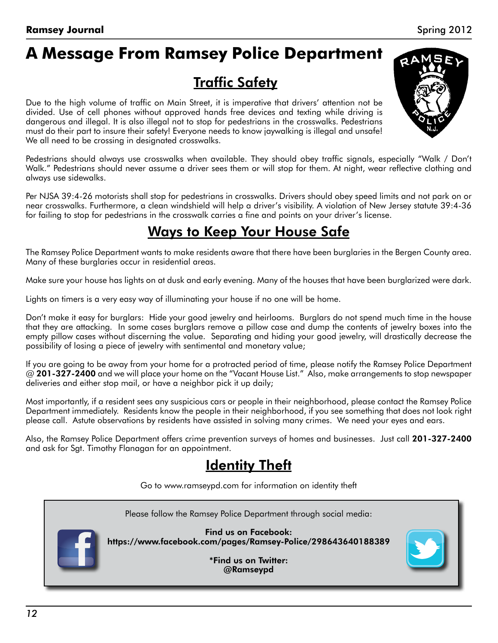# **A Message From Ramsey Police Department**

## **Traffic Safety**

Due to the high volume of traffic on Main Street, it is imperative that drivers' attention not be divided. Use of cell phones without approved hands free devices and texting while driving is dangerous and illegal. It is also illegal not to stop for pedestrians in the crosswalks. Pedestrians must do their part to insure their safety! Everyone needs to know jaywalking is illegal and unsafe! We all need to be crossing in designated crosswalks.



Pedestrians should always use crosswalks when available. They should obey traffic signals, especially "Walk / Don't Walk." Pedestrians should never assume a driver sees them or will stop for them. At night, wear reflective clothing and always use sidewalks.

Per NJSA 39:4-26 motorists shall stop for pedestrians in crosswalks. Drivers should obey speed limits and not park on or near crosswalks. Furthermore, a clean windshield will help a driver's visibility. A violation of New Jersey statute 39:4-36 for failing to stop for pedestrians in the crosswalk carries a fine and points on your driver's license.

## Ways to Keep Your House Safe

The Ramsey Police Department wants to make residents aware that there have been burglaries in the Bergen County area. Many of these burglaries occur in residential areas.

Make sure your house has lights on at dusk and early evening. Many of the houses that have been burglarized were dark.

Lights on timers is a very easy way of illuminating your house if no one will be home.

Don't make it easy for burglars: Hide your good jewelry and heirlooms. Burglars do not spend much time in the house that they are attacking. In some cases burglars remove a pillow case and dump the contents of jewelry boxes into the empty pillow cases without discerning the value. Separating and hiding your good jewelry, will drastically decrease the possibility of losing a piece of jewelry with sentimental and monetary value;

If you are going to be away from your home for a protracted period of time, please notify the Ramsey Police Department @ 201-327-2400 and we will place your home on the "Vacant House List." Also, make arrangements to stop newspaper deliveries and either stop mail, or have a neighbor pick it up daily;

Most importantly, if a resident sees any suspicious cars or people in their neighborhood, please contact the Ramsey Police Department immediately. Residents know the people in their neighborhood, if you see something that does not look right please call. Astute observations by residents have assisted in solving many crimes. We need your eyes and ears.

Also, the Ramsey Police Department offers crime prevention surveys of homes and businesses. Just call 201-327-2400 and ask for Sgt. Timothy Flanagan for an appointment.

#### Identity Theft

Go to www.ramseypd.com for information on identity theft



Please follow the Ramsey Police Department through social media:

Find us on Facebook: https://www.facebook.com/pages/Ramsey-Police/298643640188389

> \*Find us on Twitter: @Ramseypd

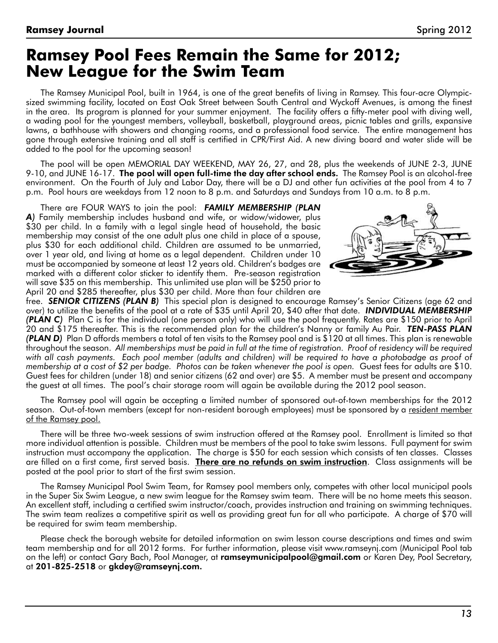#### **Ramsey Pool Fees Remain the Same for 2012; New League for the Swim Team**

The Ramsey Municipal Pool, built in 1964, is one of the great benefits of living in Ramsey. This four-acre Olympicsized swimming facility, located on East Oak Street between South Central and Wyckoff Avenues, is among the finest in the area. Its program is planned for your summer enjoyment. The facility offers a fifty-meter pool with diving well, a wading pool for the youngest members, volleyball, basketball, playground areas, picnic tables and grills, expansive lawns, a bathhouse with showers and changing rooms, and a professional food service. The entire management has gone through extensive training and all staff is certified in CPR/First Aid. A new diving board and water slide will be added to the pool for the upcoming season!

The pool will be open MEMORIAL DAY WEEKEND, MAY 26, 27, and 28, plus the weekends of JUNE 2-3, JUNE 9-10, and JUNE 16-17. The pool will open full-time the day after school ends. The Ramsey Pool is an alcohol-free environment. On the Fourth of July and Labor Day, there will be a DJ and other fun activities at the pool from 4 to 7 p.m. Pool hours are weekdays from 12 noon to 8 p.m. and Saturdays and Sundays from 10 a.m. to 8 p.m.

There are FOUR WAYS to join the pool: *FAMILY MEMBERSHIP (PLAN A)* Family membership includes husband and wife, or widow/widower, plus \$30 per child. In a family with a legal single head of household, the basic membership may consist of the one adult plus one child in place of a spouse, plus \$30 for each additional child. Children are assumed to be unmarried, over 1 year old, and living at home as a legal dependent. Children under 10 must be accompanied by someone at least 12 years old. Children's badges are marked with a different color sticker to identify them. Pre-season registration will save \$35 on this membership. This unlimited use plan will be \$250 prior to April 20 and \$285 thereafter, plus \$30 per child. More than four children are



free. *SENIOR CITIZENS (PLAN B)* This special plan is designed to encourage Ramsey's Senior Citizens (age 62 and over) to utilize the benefits of the pool at a rate of \$35 until April 20, \$40 after that date. *INDIVIDUAL MEMBERSHIP (PLAN C)* Plan C is for the individual (one person only) who will use the pool frequently. Rates are \$150 prior to April 20 and \$175 thereafter. This is the recommended plan for the children's Nanny or family Au Pair. *TEN-PASS PLAN (PLAN D)* Plan D affords members a total of ten visits to the Ramsey pool and is \$120 at all times. This plan is renewable throughout the season. *All memberships must be paid in full at the time of registration. Proof of residency will be required*  with all cash payments. Each pool member (adults and children) will be required to have a photobadge as proof of *membership at a cost of \$2 per badge. Photos can be taken whenever the pool is open.* Guest fees for adults are \$10. Guest fees for children (under 18) and senior citizens (62 and over) are \$5. A member must be present and accompany the guest at all times. The pool's chair storage room will again be available during the 2012 pool season.

The Ramsey pool will again be accepting a limited number of sponsored out-of-town memberships for the 2012 season. Out-of-town members (except for non-resident borough employees) must be sponsored by a <u>resident member</u> of the Ramsey pool.

There will be three two-week sessions of swim instruction offered at the Ramsey pool. Enrollment is limited so that more individual attention is possible. Children must be members of the pool to take swim lessons. Full payment for swim instruction must accompany the application. The charge is \$50 for each session which consists of ten classes. Classes are filled on a first come, first served basis. There are no refunds on swim instruction. Class assignments will be posted at the pool prior to start of the first swim session.

The Ramsey Municipal Pool Swim Team, for Ramsey pool members only, competes with other local municipal pools in the Super Six Swim League, a new swim league for the Ramsey swim team. There will be no home meets this season. An excellent staff, including a certified swim instructor/coach, provides instruction and training on swimming techniques. The swim team realizes a competitive spirit as well as providing great fun for all who participate. A charge of \$70 will be required for swim team membership.

Please check the borough website for detailed information on swim lesson course descriptions and times and swim team membership and for all 2012 forms. For further information, please visit www.ramseynj.com (Municipal Pool tab on the left) or contact Gary Bach, Pool Manager, at **ramseymunicipalpool@gmail.com** or Karen Dey, Pool Secretary, at 201-825-2518 or gkdey@ramseynj.com.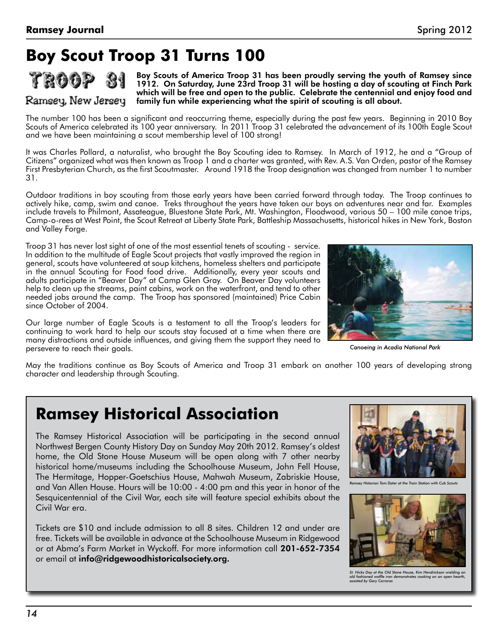# **Boy Scout Troop 31 Turns 100**



Ramsey, New Jersey

Boy Scouts of America Troop 31 has been proudly serving the youth of Ramsey since 1912. On Saturday, June 23rd Troop 31 will be hosting a day of scouting at Finch Park which will be free and open to the public. Celebrate the centennial and enjoy food and family fun while experiencing what the spirit of scouting is all about.

The number 100 has been a significant and reoccurring theme, especially during the past few years. Beginning in 2010 Boy Scouts of America celebrated its 100 year anniversary. In 2011 Troop 31 celebrated the advancement of its 100th Eagle Scout and we have been maintaining a scout membership level of 100 strong!

It was Charles Pollard, a naturalist, who brought the Boy Scouting idea to Ramsey. In March of 1912, he and a "Group of Citizens" organized what was then known as Troop 1 and a charter was granted, with Rev. A.S. Van Orden, pastor of the Ramsey First Presbyterian Church, as the first Scoutmaster. Around 1918 the Troop designation was changed from number 1 to number 31.

Outdoor traditions in boy scouting from those early years have been carried forward through today. The Troop continues to actively hike, camp, swim and canoe. Treks throughout the years have taken our boys on adventures near and far. Examples include travels to Philmont, Assateague, Bluestone State Park, Mt. Washington, Floodwood, various 50 – 100 mile canoe trips, Camp-o-rees at West Point, the Scout Retreat at Liberty State Park, Battleship Massachusetts, historical hikes in New York, Boston and Valley Forge.

Troop 31 has never lost sight of one of the most essential tenets of scouting - service. In addition to the multitude of Eagle Scout projects that vastly improved the region in general, scouts have volunteered at soup kitchens, homeless shelters and participate in the annual Scouting for Food food drive. Additionally, every year scouts and adults participate in "Beaver Day" at Camp Glen Gray. On Beaver Day volunteers help to clean up the streams, paint cabins, work on the waterfront, and tend to other needed jobs around the camp. The Troop has sponsored (maintained) Price Cabin since October of 2004.

Our large number of Eagle Scouts is a testament to all the Troop's leaders for continuing to work hard to help our scouts stay focused at a time when there are many distractions and outside influences, and giving them the support they need to persevere to reach their goals.



Canoeing in Acadia National Park

May the traditions continue as Boy Scouts of America and Troop 31 embark on another 100 years of developing strong character and leadership through Scouting.

## **Ramsey Historical Association**

The Ramsey Historical Association will be participating in the second annual Northwest Bergen County History Day on Sunday May 20th 2012. Ramsey's oldest home, the Old Stone House Museum will be open along with 7 other nearby historical home/museums including the Schoolhouse Museum, John Fell House, The Hermitage, Hopper-Goetschius House, Mahwah Museum, Zabriskie House, and Van Allen House. Hours will be 10:00 - 4:00 pm and this year in honor of the Sesquicentennial of the Civil War, each site will feature special exhibits about the Civil War era.

Tickets are \$10 and include admission to all 8 sites. Children 12 and under are free. Tickets will be available in advance at the Schoolhouse Museum in Ridgewood or at Abma's Farm Market in Wyckoff. For more information call 201-652-7354 or email at info@ridgewoodhistoricalsociety.org.



*Ramsey Historian Tom Dater at the Train Station with Cub Scouts*



*St. Nicks Day at the Old Stone House, Kim Hendrickson wielding an old fashioned waffle iron demonstrates cooking on an open hearth, assisted by Gary Corraras*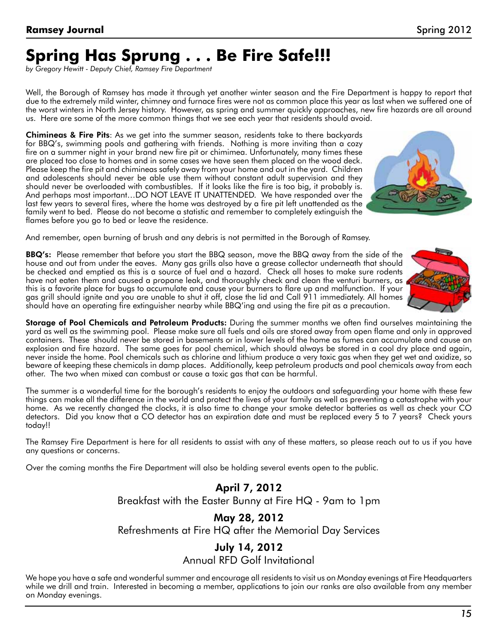# **Spring Has Sprung . . . Be Fire Safe!!!**

*by Gregory Hewitt - Deputy Chief, Ramsey Fire Department*

Well, the Borough of Ramsey has made it through yet another winter season and the Fire Department is happy to report that due to the extremely mild winter, chimney and furnace fires were not as common place this year as last when we suffered one of the worst winters in North Jersey history. However, as spring and summer quickly approaches, new fire hazards are all around us. Here are some of the more common things that we see each year that residents should avoid.

**Chimineas & Fire Pits:** As we get into the summer season, residents take to there backyards for BBQ's, swimming pools and gathering with friends. Nothing is more inviting than a cozy fire on a summer night in your brand new fire pit or chimimea. Unfortunately, many times these are placed too close to homes and in some cases we have seen them placed on the wood deck. Please keep the fire pit and chimineas safely away from your home and out in the yard. Children and adolescents should never be able use them without constant adult supervision and they should never be overloaded with combustibles. If it looks like the fire is too big, it probably is. And perhaps most important…DO NOT LEAVE IT UNATTENDED. We have responded over the last few years to several fires, where the home was destroyed by a fire pit left unattended as the family went to bed. Please do not become a statistic and remember to completely extinguish the flames before you go to bed or leave the residence.



And remember, open burning of brush and any debris is not permitted in the Borough of Ramsey.

BBQ's: Please remember that before you start the BBQ season, move the BBQ away from the side of the house and out from under the eaves. Many gas grills also have a grease collector underneath that should be checked and emptied as this is a source of fuel and a hazard. Check all hoses to make sure rodents have not eaten them and caused a propane leak, and thoroughly check and clean the venturi burners, as this is a favorite place for bugs to accumulate and cause your burners to flare up and malfunction. If your gas grill should ignite and you are unable to shut it off, close the lid and Call 911 immediately. All homes should have an operating fire extinguisher nearby while BBQ'ing and using the fire pit as a precaution.



Storage of Pool Chemicals and Petroleum Products: During the summer months we often find ourselves maintaining the yard as well as the swimming pool. Please make sure all fuels and oils are stored away from open flame and only in approved containers. These should never be stored in basements or in lower levels of the home as fumes can accumulate and cause an explosion and fire hazard. The same goes for pool chemical, which should always be stored in a cool dry place and again, never inside the home. Pool chemicals such as chlorine and lithium produce a very toxic gas when they get wet and oxidize, so beware of keeping these chemicals in damp places. Additionally, keep petroleum products and pool chemicals away from each other. The two when mixed can combust or cause a toxic gas that can be harmful.

The summer is a wonderful time for the borough's residents to enjoy the outdoors and safeguarding your home with these few things can make all the difference in the world and protect the lives of your family as well as preventing a catastrophe with your home. As we recently changed the clocks, it is also time to change your smoke detector batteries as well as check your CO detectors. Did you know that a CO detector has an expiration date and must be replaced every 5 to 7 years? Check yours today!!

The Ramsey Fire Department is here for all residents to assist with any of these matters, so please reach out to us if you have any questions or concerns.

Over the coming months the Fire Department will also be holding several events open to the public.

April 7, 2012

Breakfast with the Easter Bunny at Fire HQ - 9am to 1pm

#### May 28, 2012

Refreshments at Fire HQ after the Memorial Day Services

#### July 14, 2012

#### Annual RFD Golf Invitational

We hope you have a safe and wonderful summer and encourage all residents to visit us on Monday evenings at Fire Headquarters while we drill and train. Interested in becoming a member, applications to join our ranks are also available from any member on Monday evenings.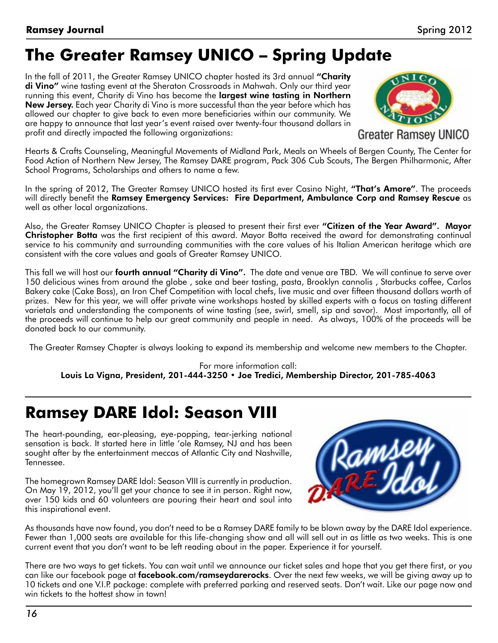# **The Greater Ramsey UNICO – Spring Update**

In the fall of 2011, the Greater Ramsey UNICO chapter hosted its 3rd annual "Charity di Vino" wine tasting event at the Sheraton Crossroads in Mahwah. Only our third year running this event, Charity di Vino has become the largest wine tasting in Northern New Jersey. Each year Charity di Vino is more successful than the year before which has allowed our chapter to give back to even more beneficiaries within our community. We are happy to announce that last year's event raised over twenty-four thousand dollars in profit and directly impacted the following organizations:



**Greater Ramsey UNICO** 

Hearts & Crafts Counseling, Meaningful Movements of Midland Park, Meals on Wheels of Bergen County, The Center for Food Action of Northern New Jersey, The Ramsey DARE program, Pack 306 Cub Scouts, The Bergen Philharmonic, After School Programs, Scholarships and others to name a few.

In the spring of 2012, The Greater Ramsey UNICO hosted its first ever Casino Night, "That's Amore". The proceeds will directly benefit the Ramsey Emergency Services: Fire Department, Ambulance Corp and Ramsey Rescue as well as other local organizations.

Also, the Greater Ramsey UNICO Chapter is pleased to present their first ever "Citizen of the Year Award". Mayor Christopher Botta was the first recipient of this award. Mayor Botta received the award for demonstrating continual service to his community and surrounding communities with the core values of his Italian American heritage which are consistent with the core values and goals of Greater Ramsey UNICO.

This fall we will host our **fourth annual "Charity di Vino".** The date and venue are TBD. We will continue to serve over 150 delicious wines from around the globe , sake and beer tasting, pasta, Brooklyn cannolis , Starbucks coffee, Carlos Bakery cake (Cake Boss), an Iron Chef Competition with local chefs, live music and over fifteen thousand dollars worth of prizes. New for this year, we will offer private wine workshops hosted by skilled experts with a focus on tasting different varietals and understanding the components of wine tasting (see, swirl, smell, sip and savor). Most importantly, all of the proceeds will continue to help our great community and people in need. As always, 100% of the proceeds will be donated back to our community.

The Greater Ramsey Chapter is always looking to expand its membership and welcome new members to the Chapter.

For more information call: Louis La Vigna, President, 201-444-3250 • Joe Tredici, Membership Director, 201-785-4063

# **Ramsey DARE Idol: Season VIII**

The heart-pounding, ear-pleasing, eye-popping, tear-jerking national sensation is back. It started here in little 'ole Ramsey, NJ and has been sought after by the entertainment meccas of Atlantic City and Nashville, Tennessee.

The homegrown Ramsey DARE Idol: Season VIII is currently in production. On May 19, 2012, you'll get your chance to see it in person. Right now, over 150 kids and 60 volunteers are pouring their heart and soul into this inspirational event.



As thousands have now found, you don't need to be a Ramsey DARE family to be blown away by the DARE Idol experience. Fewer than 1,000 seats are available for this life-changing show and all will sell out in as little as two weeks. This is one current event that you don't want to be left reading about in the paper. Experience it for yourself.

There are two ways to get tickets. You can wait until we announce our ticket sales and hope that you get there first, or you can like our facebook page at facebook.com/ramseydarerocks. Over the next few weeks, we will be giving away up to 10 tickets and one V.I.P. package: complete with preferred parking and reserved seats. Don't wait. Like our page now and win tickets to the hottest show in town!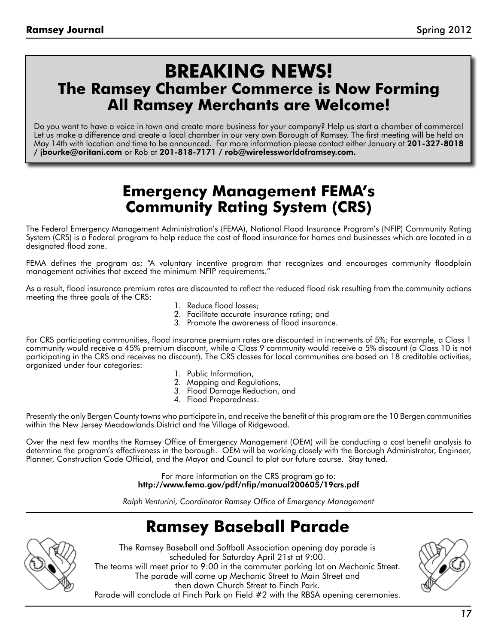## **Breaking News! The Ramsey Chamber Commerce is Now Forming All Ramsey Merchants are Welcome!**

Do you want to have a voice in town and create more business for your company? Help us start a chamber of commerce! Let us make a difference and create a local chamber in our very own Borough of Ramsey. The first meeting will be held on May 14th with location and time to be announced. For more information please contact either January at 201-327-8018 / jbourke@oritani.com or Rob at 201-818-7171 / rob@wirelessworldoframsey.com.

## **Emergency Management FEMA's Community Rating System (CRS)**

The Federal Emergency Management Administration's (FEMA), National Flood Insurance Program's (NFIP) Community Rating System (CRS) is a Federal program to help reduce the cost of flood insurance for homes and businesses which are located in a designated flood zone.

FEMA defines the program as; "A voluntary incentive program that recognizes and encourages community floodplain management activities that exceed the minimum NFIP requirements."

As a result, flood insurance premium rates are discounted to reflect the reduced flood risk resulting from the community actions meeting the three goals of the CRS:

- 1. Reduce flood losses;
- 2. Facilitate accurate insurance rating; and
- 3. Promote the awareness of flood insurance.

For CRS participating communities, flood insurance premium rates are discounted in increments of 5%; For example, a Class 1 community would receive a 45% premium discount, while a Class 9 community would receive a 5% discount (a Class 10 is not participating in the CRS and receives no discount). The CRS classes for local communities are based on 18 creditable activities, organized under four categories:

- 1. Public Information,
- 2. Mapping and Regulations,
- 3. Flood Damage Reduction, and
- 4. Flood Preparedness.

Presently the only Bergen County towns who participate in, and receive the benefit of this program are the 10 Bergen communities within the New Jersey Meadowlands District and the Village of Ridgewood.

Over the next few months the Ramsey Office of Emergency Management (OEM) will be conducting a cost benefit analysis to determine the program's effectiveness in the borough. OEM will be working closely with the Borough Administrator, Engineer, Planner, Construction Code Official, and the Mayor and Council to plot our future course. Stay tuned.

> For more information on the CRS program go to: http://www.fema.gov/pdf/nfip/manual200605/19crs.pdf

*Ralph Venturini, Coordinator Ramsey Office of Emergency Management* 

# **Ramsey Baseball Parade**



The Ramsey Baseball and Softball Association opening day parade is scheduled for Saturday April 21st at 9:00. The teams will meet prior to 9:00 in the commuter parking lot on Mechanic Street. The parade will come up Mechanic Street to Main Street and then down Church Street to Finch Park.



Parade will conclude at Finch Park on Field #2 with the RBSA opening ceremonies.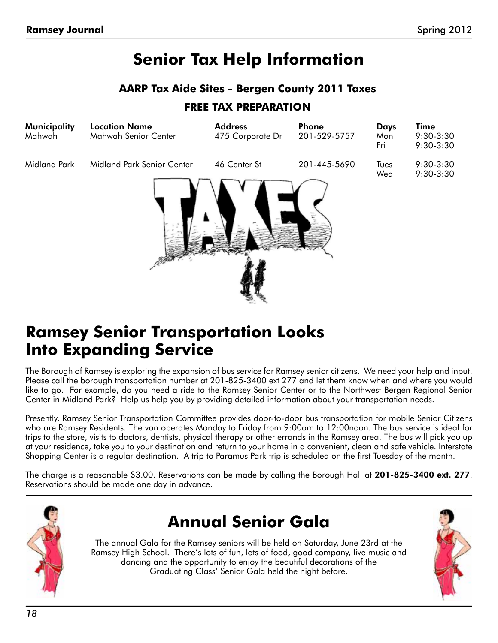# **Senior Tax Help Information**

#### **AARP Tax Aide Sites - Bergen County 2011 Taxes**

#### **FREE TAX PREPARATION**

| Midland Park<br>Midland Park Senior Center<br>46 Center St<br>201-445-5690<br>Tues<br>Wed | <b>Time</b><br>$9:30-3:30$<br>9:30-3:30 |
|-------------------------------------------------------------------------------------------|-----------------------------------------|
|                                                                                           | $9:30-3:30$<br>9:30-3:30                |

## **Ramsey Senior Transportation Looks Into Expanding Service**

The Borough of Ramsey is exploring the expansion of bus service for Ramsey senior citizens. We need your help and input. Please call the borough transportation number at 201-825-3400 ext 277 and let them know when and where you would like to go. For example, do you need a ride to the Ramsey Senior Center or to the Northwest Bergen Regional Senior Center in Midland Park? Help us help you by providing detailed information about your transportation needs.

Presently, Ramsey Senior Transportation Committee provides door-to-door bus transportation for mobile Senior Citizens who are Ramsey Residents. The van operates Monday to Friday from 9:00am to 12:00noon. The bus service is ideal for trips to the store, visits to doctors, dentists, physical therapy or other errands in the Ramsey area. The bus will pick you up at your residence, take you to your destination and return to your home in a convenient, clean and safe vehicle. Interstate Shopping Center is a regular destination. A trip to Paramus Park trip is scheduled on the first Tuesday of the month.

The charge is a reasonable \$3.00. Reservations can be made by calling the Borough Hall at **201-825-3400 ext. 277**. Reservations should be made one day in advance.



# **Annual Senior Gala**

The annual Gala for the Ramsey seniors will be held on Saturday, June 23rd at the Ramsey High School. There's lots of fun, lots of food, good company, live music and dancing and the opportunity to enjoy the beautiful decorations of the Graduating Class' Senior Gala held the night before.

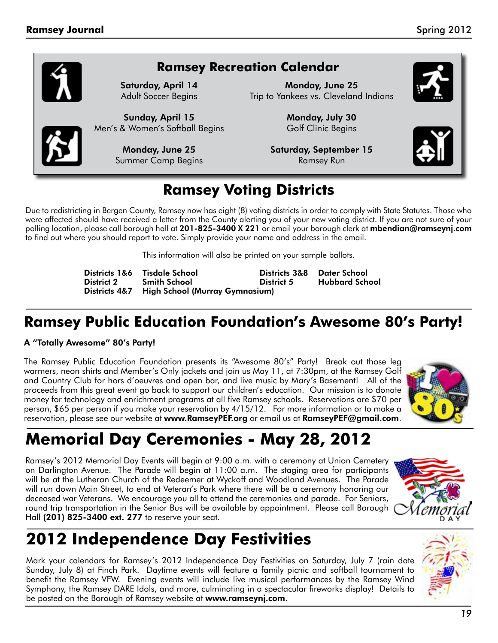#### **Ramsey Recreation Calendar**

Saturday, April 14 Adult Soccer Begins

Sunday, April 15 Men's & Women's Softball Begins

> Monday, June 25 Summer Camp Begins

Monday, June 25 Trip to Yankees vs. Cleveland Indians

> Monday, July 30 Golf Clinic Begins

Saturday, September 15 Ramsey Run





## **Ramsey Voting Districts**

Due to redistricting in Bergen County, Ramsey now has eight (8) voting districts in order to comply with State Statutes. Those who were affected should have received a letter from the County alerting you of your new voting district. If you are not sure of your polling location, please call borough hall at 201-825-3400 X 221 or email your borough clerk at mbendian@ramseynj.com to find out where you should report to vote. Simply provide your name and address in the email.

This information will also be printed on your sample ballots.

|            | Districts 1&6 Tisdale School                 |            | Districts 3&8 Dater School |
|------------|----------------------------------------------|------------|----------------------------|
| District 2 | <b>Smith School</b>                          | District 5 | Hubbard School             |
|            | Districts 4&7 High School (Murray Gymnasium) |            |                            |

## **Ramsey Public Education Foundation's Awesome 80's Party!**

#### A "Totally Awesome" 80's Party!

The Ramsey Public Education Foundation presents its "Awesome 80's" Party! Break out those leg warmers, neon shirts and Member's Only jackets and join us May 11, at 7:30pm, at the Ramsey Golf and Country Club for hors d'oeuvres and open bar, and live music by Mary's Basement! All of the proceeds from this great event go back to support our children's education. Our mission is to donate money for technology and enrichment programs at all five Ramsey schools. Reservations are \$70 per person, \$65 per person if you make your reservation by 4/15/12. For more information or to make a reservation, please see our website at www.RamseyPEF.org or email us at RamseyPEF@gmail.com.



# **Memorial Day Ceremonies - May 28, 2012**

Ramsey's 2012 Memorial Day Events will begin at 9:00 a.m. with a ceremony at Union Cemetery on Darlington Avenue. The Parade will begin at 11:00 a.m. The staging area for participants will be at the Lutheran Church of the Redeemer at Wyckoff and Woodland Avenues. The Parade will run down Main Street, to end at Veteran's Park where there will be a ceremony honoring our deceased war Veterans. We encourage you all to attend the ceremonies and parade. For Seniors, round trip transportation in the Senior Bus will be available by appointment. Please call Borough Hall (201) 825-3400 ext. 277 to reserve your seat.



# **2012 Independence Day Festivities**

Mark your calendars for Ramsey's 2012 Independence Day Festivities on Saturday, July 7 (rain date Sunday, July 8) at Finch Park. Daytime events will feature a family picnic and softball tournament to benefit the Ramsey VFW. Evening events will include live musical performances by the Ramsey Wind Symphony, the Ramsey DARE Idols, and more, culminating in a spectacular fireworks display! Details to be posted on the Borough of Ramsey website at www.ramseynj.com.